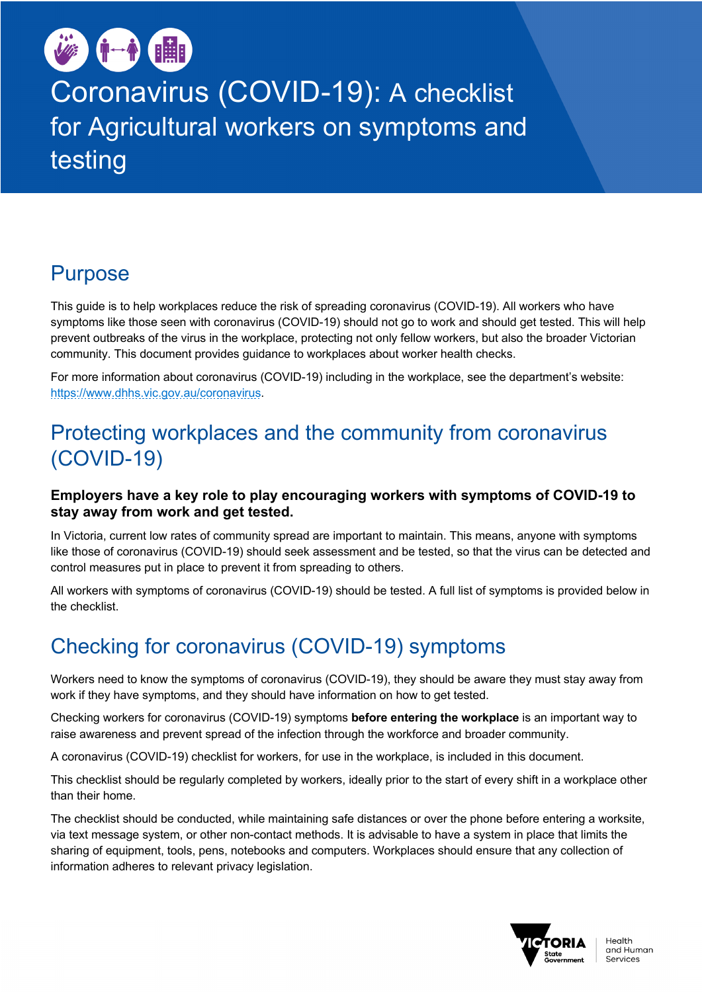

Coronavirus (COVID-19): A checklist for Agricultural workers on symptoms and testing

# Purpose

This guide is to help workplaces reduce the risk of spreading coronavirus (COVID-19). All workers who have symptoms like those seen with coronavirus (COVID-19) should not go to work and should get tested. This will help prevent outbreaks of the virus in the workplace, protecting not only fellow workers, but also the broader Victorian community. This document provides guidance to workplaces about worker health checks.

For more information about coronavirus (COVID-19) including in the workplace, see the department's website: https://www.dhhs.vic.gov.au/coronavirus.

# Protecting workplaces and the community from coronavirus (COVID-19)

#### **Employers have a key role to play encouraging workers with symptoms of COVID-19 to stay away from work and get tested.**

In Victoria, current low rates of community spread are important to maintain. This means, anyone with symptoms like those of coronavirus (COVID-19) should seek assessment and be tested, so that the virus can be detected and control measures put in place to prevent it from spreading to others.

All workers with symptoms of coronavirus (COVID-19) should be tested. A full list of symptoms is provided below in the checklist.

# Checking for coronavirus (COVID-19) symptoms

Workers need to know the symptoms of coronavirus (COVID-19), they should be aware they must stay away from work if they have symptoms, and they should have information on how to get tested.

Checking workers for coronavirus (COVID-19) symptoms **before entering the workplace** is an important way to raise awareness and prevent spread of the infection through the workforce and broader community.

A coronavirus (COVID-19) checklist for workers, for use in the workplace, is included in this document.

This checklist should be regularly completed by workers, ideally prior to the start of every shift in a workplace other than their home.

The checklist should be conducted, while maintaining safe distances or over the phone before entering a worksite, via text message system, or other non-contact methods. It is advisable to have a system in place that limits the sharing of equipment, tools, pens, notebooks and computers. Workplaces should ensure that any collection of information adheres to relevant privacy legislation.

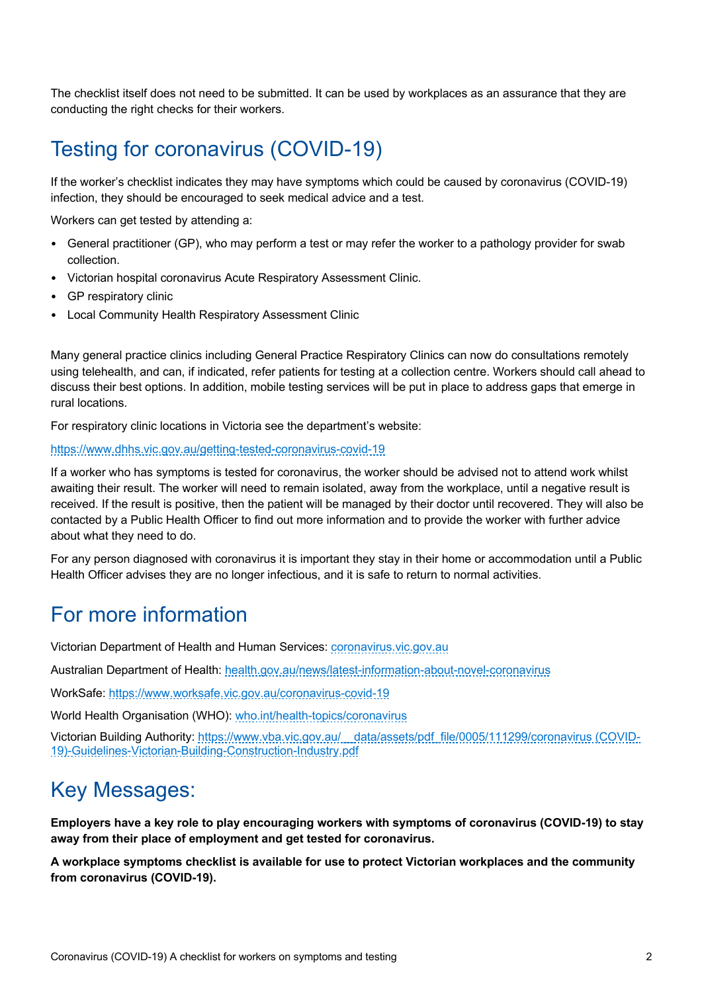The checklist itself does not need to be submitted. It can be used by workplaces as an assurance that they are conducting the right checks for their workers.

## Testing for coronavirus (COVID-19)

If the worker's checklist indicates they may have symptoms which could be caused by coronavirus (COVID-19) infection, they should be encouraged to seek medical advice and a test.

Workers can get tested by attending a:

- General practitioner (GP), who may perform a test or may refer the worker to a pathology provider for swab collection.
- Victorian hospital coronavirus Acute Respiratory Assessment Clinic.
- GP respiratory clinic
- Local Community Health Respiratory Assessment Clinic

Many general practice clinics including General Practice Respiratory Clinics can now do consultations remotely using telehealth, and can, if indicated, refer patients for testing at a collection centre. Workers should call ahead to discuss their best options. In addition, mobile testing services will be put in place to address gaps that emerge in rural locations.

For respiratory clinic locations in Victoria see the department's website:

#### https://www.dhhs.vic.gov.au/getting-tested-coronavirus-covid-19

If a worker who has symptoms is tested for coronavirus, the worker should be advised not to attend work whilst awaiting their result. The worker will need to remain isolated, away from the workplace, until a negative result is received. If the result is positive, then the patient will be managed by their doctor until recovered. They will also be contacted by a Public Health Officer to find out more information and to provide the worker with further advice about what they need to do.

For any person diagnosed with coronavirus it is important they stay in their home or accommodation until a Public Health Officer advises they are no longer infectious, and it is safe to return to normal activities.

## For more information

Victorian Department of Health and Human Services: coronavirus.vic.gov.au

Australian Department of Health: health.gov.au/news/latest-information-about-novel-coronavirus

WorkSafe: https://www.worksafe.vic.gov.au/coronavirus-covid-19

World Health Organisation (WHO): who.int/health-topics/coronavirus

Victorian Building Authority: https://www.vba.vic.gov.au/\_\_data/assets/pdf\_file/0005/111299/coronavirus (COVID-19)-Guidelines-Victorian-Building-Construction-Industry.pdf

## Key Messages:

**Employers have a key role to play encouraging workers with symptoms of coronavirus (COVID-19) to stay away from their place of employment and get tested for coronavirus.**

**A workplace symptoms checklist is available for use to protect Victorian workplaces and the community from coronavirus (COVID-19).**